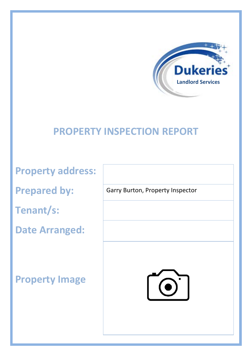

## **PROPERTY INSPECTION REPORT**

**Property address:**

**Prepared by:** 

**Tenant/s:** 

**Date Arranged:**

**Property Image** 

Garry Burton, Property Inspector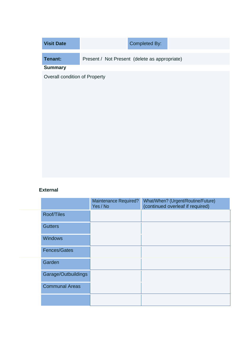| <b>Visit Date</b> | Completed By:                                 |
|-------------------|-----------------------------------------------|
| Tenant:           | Present / Not Present (delete as appropriate) |
| <b>Summary</b>    |                                               |

Overall condition of Property

## **External**

|                       | <b>Maintenance Required?</b><br>Yes / No | What/When? (Urgent/Routine/Future)<br>(continued overleaf if required) |
|-----------------------|------------------------------------------|------------------------------------------------------------------------|
| Roof/Tiles            |                                          |                                                                        |
| <b>Gutters</b>        |                                          |                                                                        |
| <b>Windows</b>        |                                          |                                                                        |
| Fences/Gates          |                                          |                                                                        |
| Garden                |                                          |                                                                        |
| Garage/Outbuildings   |                                          |                                                                        |
| <b>Communal Areas</b> |                                          |                                                                        |
|                       |                                          |                                                                        |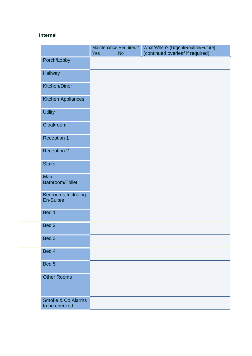## **Internal**

|                                               | Maintenance Required?<br>Yes<br><b>No</b> | What/When? (Urgent/Routine/Future)<br>(continued overleaf if required) |
|-----------------------------------------------|-------------------------------------------|------------------------------------------------------------------------|
| Porch/Lobby                                   |                                           |                                                                        |
| Hallway                                       |                                           |                                                                        |
| Kitchen/Diner                                 |                                           |                                                                        |
| <b>Kitchen Appliances</b>                     |                                           |                                                                        |
| <b>Utility</b>                                |                                           |                                                                        |
| Cloakroom                                     |                                           |                                                                        |
| <b>Reception 1</b>                            |                                           |                                                                        |
| <b>Reception 2</b>                            |                                           |                                                                        |
| <b>Stairs</b>                                 |                                           |                                                                        |
| Main<br>Bathroom/Toilet                       |                                           |                                                                        |
| <b>Bedrooms Including</b><br><b>En-Suites</b> |                                           |                                                                        |
| Bed 1                                         |                                           |                                                                        |
| Bed <sub>2</sub>                              |                                           |                                                                        |
| Bed 3                                         |                                           |                                                                        |
| Bed 4                                         |                                           |                                                                        |
| Bed 5                                         |                                           |                                                                        |
| <b>Other Rooms</b>                            |                                           |                                                                        |
| <b>Smoke &amp; Co Alarms</b><br>to be checked |                                           |                                                                        |